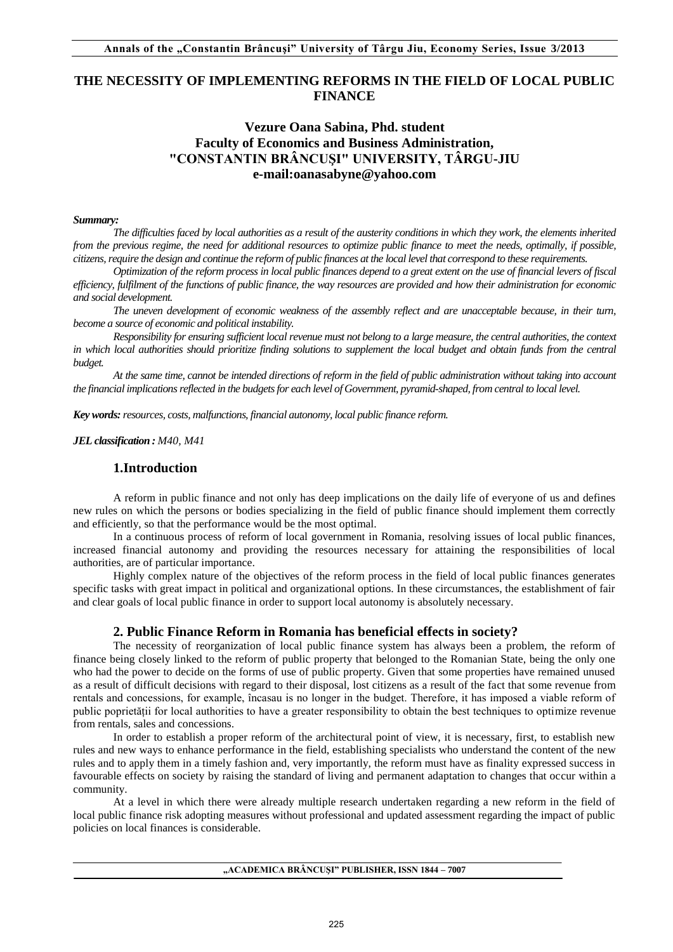# **THE NECESSITY OF IMPLEMENTING REFORMS IN THE FIELD OF LOCAL PUBLIC FINANCE**

## **Vezure Oana Sabina, Phd. student Faculty of Economics and Business Administration, "CONSTANTIN BRÂNCUŞI" UNIVERSITY, TÂRGU-JIU e-mail:oanasabyne@yahoo.com**

#### *Summary:*

*The difficulties faced by local authorities as a result of the austerity conditions in which they work, the elements inherited from the previous regime, the need for additional resources to optimize public finance to meet the needs, optimally, if possible, citizens, require the design and continue the reform of public finances at the local level that correspond to these requirements.* 

*Optimization of the reform process in local public finances depend to a great extent on the use of financial levers of fiscal efficiency, fulfilment of the functions of public finance, the way resources are provided and how their administration for economic and social development.* 

*The uneven development of economic weakness of the assembly reflect and are unacceptable because, in their turn, become a source of economic and political instability.* 

*Responsibility for ensuring sufficient local revenue must not belong to a large measure, the central authorities, the context in which local authorities should prioritize finding solutions to supplement the local budget and obtain funds from the central budget.* 

*At the same time, cannot be intended directions of reform in the field of public administration without taking into account the financial implications reflected in the budgets for each level of Government, pyramid-shaped, from central to local level.* 

*Key words: resources, costs, malfunctions, financial autonomy, local public finance reform.*

*JEL classification : M40, M41* 

## **1.Introduction**

A reform in public finance and not only has deep implications on the daily life of everyone of us and defines new rules on which the persons or bodies specializing in the field of public finance should implement them correctly and efficiently, so that the performance would be the most optimal.

In a continuous process of reform of local government in Romania, resolving issues of local public finances, increased financial autonomy and providing the resources necessary for attaining the responsibilities of local authorities, are of particular importance.

Highly complex nature of the objectives of the reform process in the field of local public finances generates specific tasks with great impact in political and organizational options. In these circumstances, the establishment of fair and clear goals of local public finance in order to support local autonomy is absolutely necessary.

### **2. Public Finance Reform in Romania has beneficial effects in society?**

The necessity of reorganization of local public finance system has always been a problem, the reform of finance being closely linked to the reform of public property that belonged to the Romanian State, being the only one who had the power to decide on the forms of use of public property. Given that some properties have remained unused as a result of difficult decisions with regard to their disposal, lost citizens as a result of the fact that some revenue from rentals and concessions, for example, încasau is no longer in the budget. Therefore, it has imposed a viable reform of public poprietății for local authorities to have a greater responsibility to obtain the best techniques to optimize revenue from rentals, sales and concessions.

In order to establish a proper reform of the architectural point of view, it is necessary, first, to establish new rules and new ways to enhance performance in the field, establishing specialists who understand the content of the new rules and to apply them in a timely fashion and, very importantly, the reform must have as finality expressed success in favourable effects on society by raising the standard of living and permanent adaptation to changes that occur within a community.

At a level in which there were already multiple research undertaken regarding a new reform in the field of local public finance risk adopting measures without professional and updated assessment regarding the impact of public policies on local finances is considerable.

**"ACADEMICA BRÂNCUŞI" PUBLISHER, ISSN 1844 – 7007**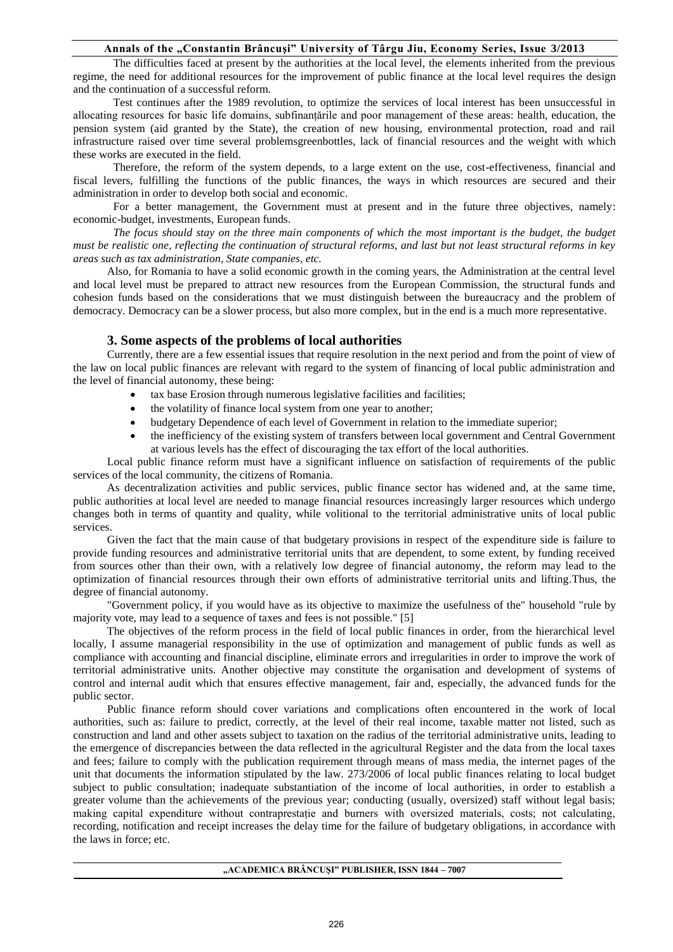#### **Annals of the "Constantin Brâncuşi" University of Târgu Jiu, Economy Series, Issue 3/2013**

The difficulties faced at present by the authorities at the local level, the elements inherited from the previous regime, the need for additional resources for the improvement of public finance at the local level requires the design and the continuation of a successful reform.

Test continues after the 1989 revolution, to optimize the services of local interest has been unsuccessful in allocating resources for basic life domains, subfinanțările and poor management of these areas: health, education, the pension system (aid granted by the State), the creation of new housing, environmental protection, road and rail infrastructure raised over time several problemsgreenbottles, lack of financial resources and the weight with which these works are executed in the field.

Therefore, the reform of the system depends, to a large extent on the use, cost-effectiveness, financial and fiscal levers, fulfilling the functions of the public finances, the ways in which resources are secured and their administration in order to develop both social and economic.

For a better management, the Government must at present and in the future three objectives, namely: economic-budget, investments, European funds.

The focus should stay on the three main components of which the most important is the budget, the budget *must be realistic one, reflecting the continuation of structural reforms, and last but not least structural reforms in key areas such as tax administration, State companies, etc.* 

Also, for Romania to have a solid economic growth in the coming years, the Administration at the central level and local level must be prepared to attract new resources from the European Commission, the structural funds and cohesion funds based on the considerations that we must distinguish between the bureaucracy and the problem of democracy. Democracy can be a slower process, but also more complex, but in the end is a much more representative.

#### **3. Some aspects of the problems of local authorities**

Currently, there are a few essential issues that require resolution in the next period and from the point of view of the law on local public finances are relevant with regard to the system of financing of local public administration and the level of financial autonomy, these being:

- tax base Erosion through numerous legislative facilities and facilities;
	- the volatility of finance local system from one year to another;
	- budgetary Dependence of each level of Government in relation to the immediate superior;
	- the inefficiency of the existing system of transfers between local government and Central Government at various levels has the effect of discouraging the tax effort of the local authorities.

Local public finance reform must have a significant influence on satisfaction of requirements of the public services of the local community, the citizens of Romania.

As decentralization activities and public services, public finance sector has widened and, at the same time, public authorities at local level are needed to manage financial resources increasingly larger resources which undergo changes both in terms of quantity and quality, while volitional to the territorial administrative units of local public services.

Given the fact that the main cause of that budgetary provisions in respect of the expenditure side is failure to provide funding resources and administrative territorial units that are dependent, to some extent, by funding received from sources other than their own, with a relatively low degree of financial autonomy, the reform may lead to the optimization of financial resources through their own efforts of administrative territorial units and lifting.Thus, the degree of financial autonomy.

"Government policy, if you would have as its objective to maximize the usefulness of the" household "rule by majority vote, may lead to a sequence of taxes and fees is not possible." [5]

The objectives of the reform process in the field of local public finances in order, from the hierarchical level locally, I assume managerial responsibility in the use of optimization and management of public funds as well as compliance with accounting and financial discipline, eliminate errors and irregularities in order to improve the work of territorial administrative units. Another objective may constitute the organisation and development of systems of control and internal audit which that ensures effective management, fair and, especially, the advanced funds for the public sector.

Public finance reform should cover variations and complications often encountered in the work of local authorities, such as: failure to predict, correctly, at the level of their real income, taxable matter not listed, such as construction and land and other assets subject to taxation on the radius of the territorial administrative units, leading to the emergence of discrepancies between the data reflected in the agricultural Register and the data from the local taxes and fees; failure to comply with the publication requirement through means of mass media, the internet pages of the unit that documents the information stipulated by the law. 273/2006 of local public finances relating to local budget subject to public consultation; inadequate substantiation of the income of local authorities, in order to establish a greater volume than the achievements of the previous year; conducting (usually, oversized) staff without legal basis; making capital expenditure without contraprestație and burners with oversized materials, costs; not calculating, recording, notification and receipt increases the delay time for the failure of budgetary obligations, in accordance with the laws in force; etc.

**"ACADEMICA BRÂNCUŞI" PUBLISHER, ISSN 1844 – 7007**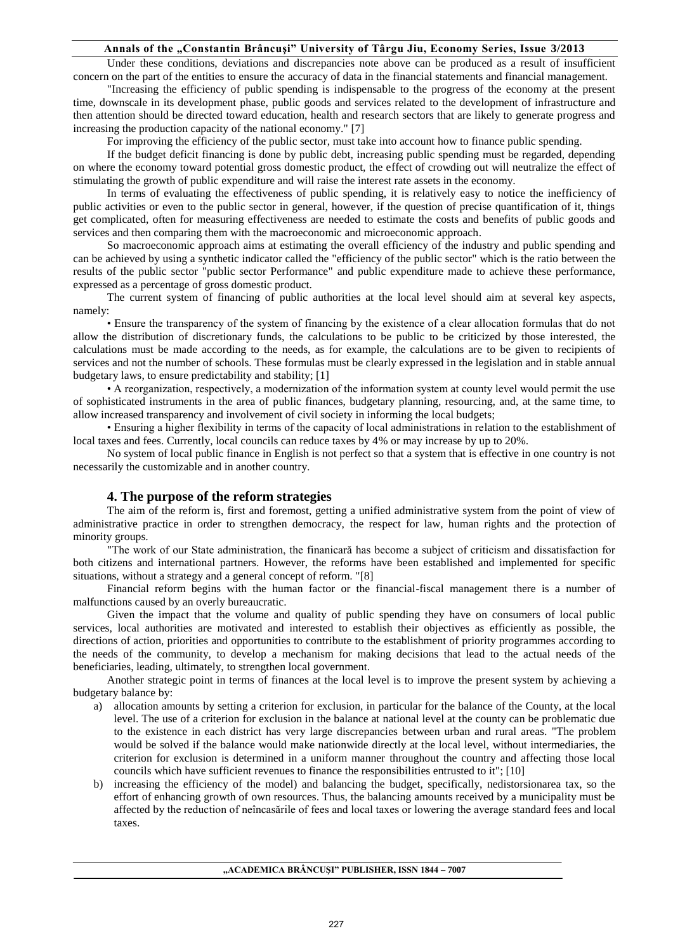## **Annals of the "Constantin Brâncuşi" University of Târgu Jiu, Economy Series, Issue 3/2013**

Under these conditions, deviations and discrepancies note above can be produced as a result of insufficient concern on the part of the entities to ensure the accuracy of data in the financial statements and financial management.

"Increasing the efficiency of public spending is indispensable to the progress of the economy at the present time, downscale in its development phase, public goods and services related to the development of infrastructure and then attention should be directed toward education, health and research sectors that are likely to generate progress and increasing the production capacity of the national economy." [7]

For improving the efficiency of the public sector, must take into account how to finance public spending.

If the budget deficit financing is done by public debt, increasing public spending must be regarded, depending on where the economy toward potential gross domestic product, the effect of crowding out will neutralize the effect of stimulating the growth of public expenditure and will raise the interest rate assets in the economy.

In terms of evaluating the effectiveness of public spending, it is relatively easy to notice the inefficiency of public activities or even to the public sector in general, however, if the question of precise quantification of it, things get complicated, often for measuring effectiveness are needed to estimate the costs and benefits of public goods and services and then comparing them with the macroeconomic and microeconomic approach.

So macroeconomic approach aims at estimating the overall efficiency of the industry and public spending and can be achieved by using a synthetic indicator called the "efficiency of the public sector" which is the ratio between the results of the public sector "public sector Performance" and public expenditure made to achieve these performance, expressed as a percentage of gross domestic product.

The current system of financing of public authorities at the local level should aim at several key aspects, namely:

• Ensure the transparency of the system of financing by the existence of a clear allocation formulas that do not allow the distribution of discretionary funds, the calculations to be public to be criticized by those interested, the calculations must be made according to the needs, as for example, the calculations are to be given to recipients of services and not the number of schools. These formulas must be clearly expressed in the legislation and in stable annual budgetary laws, to ensure predictability and stability; [1]

• A reorganization, respectively, a modernization of the information system at county level would permit the use of sophisticated instruments in the area of public finances, budgetary planning, resourcing, and, at the same time, to allow increased transparency and involvement of civil society in informing the local budgets;

• Ensuring a higher flexibility in terms of the capacity of local administrations in relation to the establishment of local taxes and fees. Currently, local councils can reduce taxes by 4% or may increase by up to 20%.

No system of local public finance in English is not perfect so that a system that is effective in one country is not necessarily the customizable and in another country.

#### **4. The purpose of the reform strategies**

The aim of the reform is, first and foremost, getting a unified administrative system from the point of view of administrative practice in order to strengthen democracy, the respect for law, human rights and the protection of minority groups.

"The work of our State administration, the finanicară has become a subject of criticism and dissatisfaction for both citizens and international partners. However, the reforms have been established and implemented for specific situations, without a strategy and a general concept of reform. "[8]

Financial reform begins with the human factor or the financial-fiscal management there is a number of malfunctions caused by an overly bureaucratic.

Given the impact that the volume and quality of public spending they have on consumers of local public services, local authorities are motivated and interested to establish their objectives as efficiently as possible, the directions of action, priorities and opportunities to contribute to the establishment of priority programmes according to the needs of the community, to develop a mechanism for making decisions that lead to the actual needs of the beneficiaries, leading, ultimately, to strengthen local government.

Another strategic point in terms of finances at the local level is to improve the present system by achieving a budgetary balance by:

- a) allocation amounts by setting a criterion for exclusion, in particular for the balance of the County, at the local level. The use of a criterion for exclusion in the balance at national level at the county can be problematic due to the existence in each district has very large discrepancies between urban and rural areas. "The problem would be solved if the balance would make nationwide directly at the local level, without intermediaries, the criterion for exclusion is determined in a uniform manner throughout the country and affecting those local councils which have sufficient revenues to finance the responsibilities entrusted to it"; [10]
- b) increasing the efficiency of the model) and balancing the budget, specifically, nedistorsionarea tax, so the effort of enhancing growth of own resources. Thus, the balancing amounts received by a municipality must be affected by the reduction of neîncasările of fees and local taxes or lowering the average standard fees and local taxes.